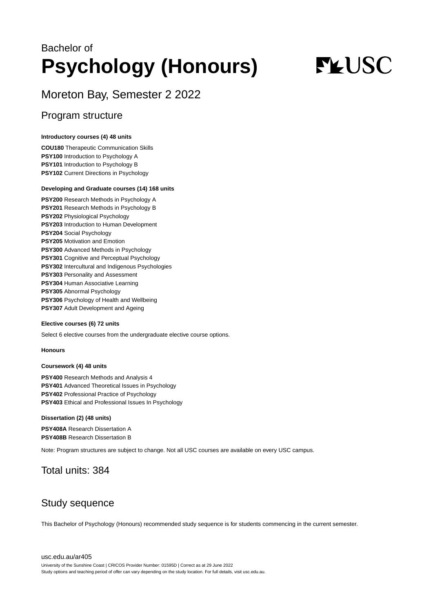## Bachelor of **Psychology (Honours)**

# **FLUSC**

## Moreton Bay, Semester 2 2022

### Program structure

#### **Introductory courses (4) 48 units**

**COU180** Therapeutic Communication Skills **PSY100** Introduction to Psychology A **PSY101** Introduction to Psychology B **PSY102** Current Directions in Psychology

#### **Developing and Graduate courses (14) 168 units**

**PSY200** Research Methods in Psychology A **PSY201** Research Methods in Psychology B **PSY202** Physiological Psychology **PSY203** Introduction to Human Development **PSY204** Social Psychology **PSY205** Motivation and Emotion **PSY300** Advanced Methods in Psychology **PSY301** Cognitive and Perceptual Psychology **PSY302** Intercultural and Indigenous Psychologies **PSY303** Personality and Assessment **PSY304** Human Associative Learning **PSY305** Abnormal Psychology **PSY306** Psychology of Health and Wellbeing **PSY307** Adult Development and Ageing

#### **Elective courses (6) 72 units**

Select 6 elective courses from the undergraduate elective course options.

#### **Honours**

#### **Coursework (4) 48 units**

**PSY400** Research Methods and Analysis 4 **PSY401** Advanced Theoretical Issues in Psychology **PSY402** Professional Practice of Psychology **PSY403** Ethical and Professional Issues In Psychology

#### **Dissertation (2) (48 units)**

**PSY408A** Research Dissertation A **PSY408B** Research Dissertation B

Note: Program structures are subject to change. Not all USC courses are available on every USC campus.

## Total units: 384

## Study sequence

This Bachelor of Psychology (Honours) recommended study sequence is for students commencing in the current semester.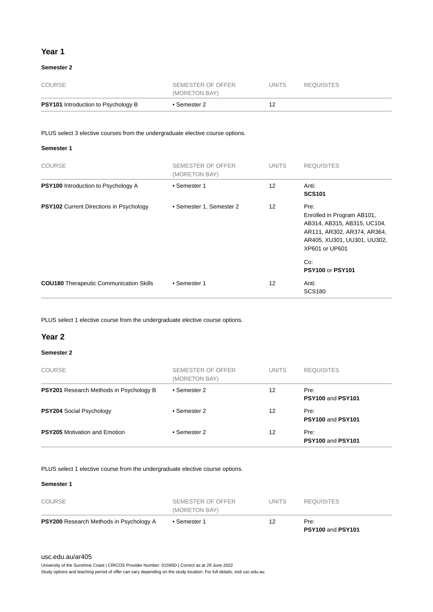#### **Year 1**

#### **Semester 2**

| <b>PSY101</b> Introduction to Psychology B | • Semester 2                       | 12     |                   |  |
|--------------------------------------------|------------------------------------|--------|-------------------|--|
| COURSE                                     | SEMESTER OF OFFER<br>(MORETON BAY) | UNITS. | <b>REQUISITES</b> |  |

PLUS select 3 elective courses from the undergraduate elective course options.

#### **Semester 1**

| <b>COURSE</b>                                  | SEMESTER OF OFFER<br>(MORETON BAY) | <b>UNITS</b> | <b>REQUISITES</b>                                                                                                                                        |
|------------------------------------------------|------------------------------------|--------------|----------------------------------------------------------------------------------------------------------------------------------------------------------|
| <b>PSY100</b> Introduction to Psychology A     | • Semester 1                       | 12           | Anti:<br><b>SCS101</b>                                                                                                                                   |
| <b>PSY102</b> Current Directions in Psychology | • Semester 1, Semester 2           | 12           | Pre:<br>Enrolled in Program AB101,<br>AB314, AB315, AB315, UC104,<br>AR111, AR302, AR374, AR364,<br>AR405, XU301, UU301, UU302,<br>XP601 or UP601<br>Co: |
|                                                |                                    |              | <b>PSY100 or PSY101</b>                                                                                                                                  |
| <b>COU180</b> Therapeutic Communication Skills | • Semester 1                       | 12           | Anti:<br><b>SCS180</b>                                                                                                                                   |

PLUS select 1 elective course from the undergraduate elective course options.

#### **Year 2**

#### **Semester 2**

| <b>COURSE</b>                                  | SEMESTER OF OFFER<br>(MORETON BAY) | <b>UNITS</b> | <b>REQUISITES</b>         |
|------------------------------------------------|------------------------------------|--------------|---------------------------|
| <b>PSY201</b> Research Methods in Psychology B | • Semester 2                       | 12           | Pre:<br>PSY100 and PSY101 |
| <b>PSY204 Social Psychology</b>                | • Semester 2                       | 12           | Pre:<br>PSY100 and PSY101 |
| <b>PSY205</b> Motivation and Emotion           | • Semester 2                       | 12           | Pre:<br>PSY100 and PSY101 |

PLUS select 1 elective course from the undergraduate elective course options.

#### **Semester 1**

| <b>PSY200</b> Research Methods in Psychology A | • Semester 1                       | 12           | Pre:<br><b>PSY100 and PSY101</b> |  |
|------------------------------------------------|------------------------------------|--------------|----------------------------------|--|
| <b>COURSE</b>                                  | SEMESTER OF OFFER<br>(MORETON BAY) | <b>UNITS</b> | <b>REQUISITES</b>                |  |

#### [usc.edu.au/ar405](https://www.usc.edu.au/ar405)

University of the Sunshine Coast | CRICOS Provider Number: 01595D | Correct as at 29 June 2022

Study options and teaching period of offer can vary depending on the study location. For full details, visit usc.edu.au.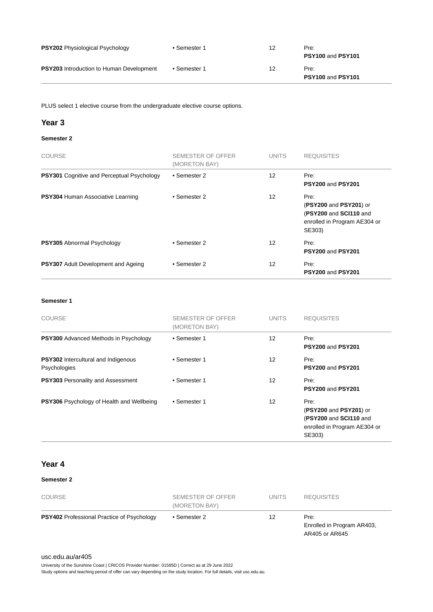| <b>PSY202</b> Physiological Psychology          | • Semester 1 | 12 | Pre:<br>PSY100 and PSY101 |
|-------------------------------------------------|--------------|----|---------------------------|
| <b>PSY203</b> Introduction to Human Development | • Semester 1 | 12 | Pre:<br>PSY100 and PSY101 |

PLUS select 1 elective course from the undergraduate elective course options.

#### **Year 3**

#### **Semester 2**

| <b>COURSE</b>                                     | SEMESTER OF OFFER<br>(MORETON BAY) | <b>UNITS</b> | <b>REQUISITES</b>                                                                                  |
|---------------------------------------------------|------------------------------------|--------------|----------------------------------------------------------------------------------------------------|
| <b>PSY301</b> Cognitive and Perceptual Psychology | • Semester 2                       | 12           | Pre:<br><b>PSY200 and PSY201</b>                                                                   |
| <b>PSY304 Human Associative Learning</b>          | • Semester 2                       | 12           | Pre:<br>(PSY200 and PSY201) or<br>(PSY200 and SCI110 and<br>enrolled in Program AE304 or<br>SE303) |
| <b>PSY305</b> Abnormal Psychology                 | • Semester 2                       | 12           | Pre:<br><b>PSY200 and PSY201</b>                                                                   |
| <b>PSY307</b> Adult Development and Ageing        | • Semester 2                       | 12           | Pre:<br><b>PSY200 and PSY201</b>                                                                   |

#### **Semester 1**

| <b>COURSE</b>                                              | SEMESTER OF OFFER<br>(MORETON BAY) | <b>UNITS</b> | <b>REQUISITES</b>                                                                                  |
|------------------------------------------------------------|------------------------------------|--------------|----------------------------------------------------------------------------------------------------|
| <b>PSY300</b> Advanced Methods in Psychology               | • Semester 1                       | 12           | Pre:<br><b>PSY200 and PSY201</b>                                                                   |
| <b>PSY302</b> Intercultural and Indigenous<br>Psychologies | • Semester 1                       | 12           | Pre:<br><b>PSY200 and PSY201</b>                                                                   |
| <b>PSY303</b> Personality and Assessment                   | • Semester 1                       | 12           | Pre:<br><b>PSY200 and PSY201</b>                                                                   |
| <b>PSY306</b> Psychology of Health and Wellbeing           | • Semester 1                       | 12           | Pre:<br>(PSY200 and PSY201) or<br>(PSY200 and SCI110 and<br>enrolled in Program AE304 or<br>SE303) |

#### **Year 4**

#### **Semester 2**

| <b>COURSE</b>                                     | SEMESTER OF OFFER<br>(MORETON BAY) | <b>UNITS</b> | <b>REQUISITES</b>                                    |
|---------------------------------------------------|------------------------------------|--------------|------------------------------------------------------|
| <b>PSY402</b> Professional Practice of Psychology | • Semester 2                       | 12           | Pre:<br>Enrolled in Program AR403,<br>AR405 or AR645 |

#### [usc.edu.au/ar405](https://www.usc.edu.au/ar405)

University of the Sunshine Coast | CRICOS Provider Number: 01595D | Correct as at 29 June 2022

Study options and teaching period of offer can vary depending on the study location. For full details, visit usc.edu.au.